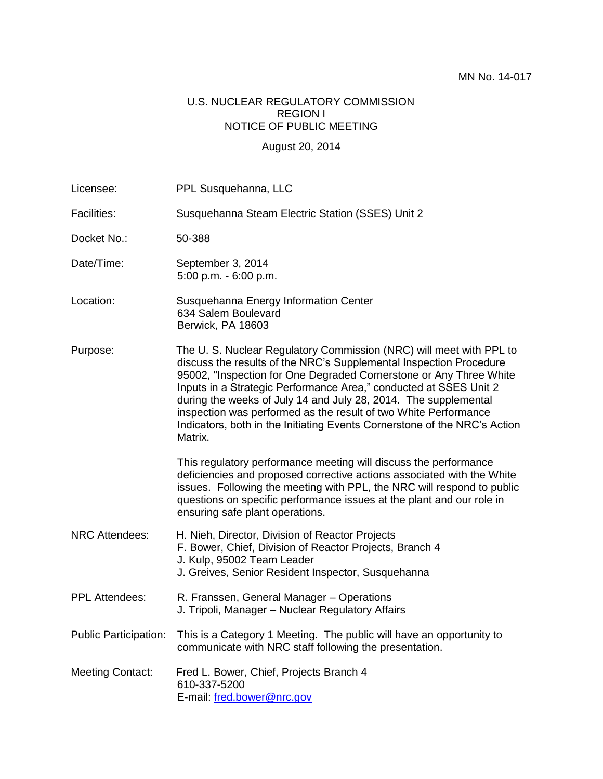#### U.S. NUCLEAR REGULATORY COMMISSION REGION I NOTICE OF PUBLIC MEETING

#### August 20, 2014

| Licensee:                    | PPL Susquehanna, LLC                                                                                                                                                                                                                                                                                                                                                                                                                                                                                               |
|------------------------------|--------------------------------------------------------------------------------------------------------------------------------------------------------------------------------------------------------------------------------------------------------------------------------------------------------------------------------------------------------------------------------------------------------------------------------------------------------------------------------------------------------------------|
| <b>Facilities:</b>           | Susquehanna Steam Electric Station (SSES) Unit 2                                                                                                                                                                                                                                                                                                                                                                                                                                                                   |
| Docket No.:                  | 50-388                                                                                                                                                                                                                                                                                                                                                                                                                                                                                                             |
| Date/Time:                   | September 3, 2014<br>$5:00$ p.m. - $6:00$ p.m.                                                                                                                                                                                                                                                                                                                                                                                                                                                                     |
| Location:                    | Susquehanna Energy Information Center<br>634 Salem Boulevard<br>Berwick, PA 18603                                                                                                                                                                                                                                                                                                                                                                                                                                  |
| Purpose:                     | The U. S. Nuclear Regulatory Commission (NRC) will meet with PPL to<br>discuss the results of the NRC's Supplemental Inspection Procedure<br>95002, "Inspection for One Degraded Cornerstone or Any Three White<br>Inputs in a Strategic Performance Area," conducted at SSES Unit 2<br>during the weeks of July 14 and July 28, 2014. The supplemental<br>inspection was performed as the result of two White Performance<br>Indicators, both in the Initiating Events Cornerstone of the NRC's Action<br>Matrix. |
|                              | This regulatory performance meeting will discuss the performance<br>deficiencies and proposed corrective actions associated with the White<br>issues. Following the meeting with PPL, the NRC will respond to public<br>questions on specific performance issues at the plant and our role in<br>ensuring safe plant operations.                                                                                                                                                                                   |
| <b>NRC Attendees:</b>        | H. Nieh, Director, Division of Reactor Projects<br>F. Bower, Chief, Division of Reactor Projects, Branch 4<br>J. Kulp, 95002 Team Leader<br>J. Greives, Senior Resident Inspector, Susquehanna                                                                                                                                                                                                                                                                                                                     |
| <b>PPL Attendees:</b>        | R. Franssen, General Manager - Operations<br>J. Tripoli, Manager - Nuclear Regulatory Affairs                                                                                                                                                                                                                                                                                                                                                                                                                      |
| <b>Public Participation:</b> | This is a Category 1 Meeting. The public will have an opportunity to<br>communicate with NRC staff following the presentation.                                                                                                                                                                                                                                                                                                                                                                                     |
| <b>Meeting Contact:</b>      | Fred L. Bower, Chief, Projects Branch 4<br>610-337-5200<br>E-mail: fred.bower@nrc.gov                                                                                                                                                                                                                                                                                                                                                                                                                              |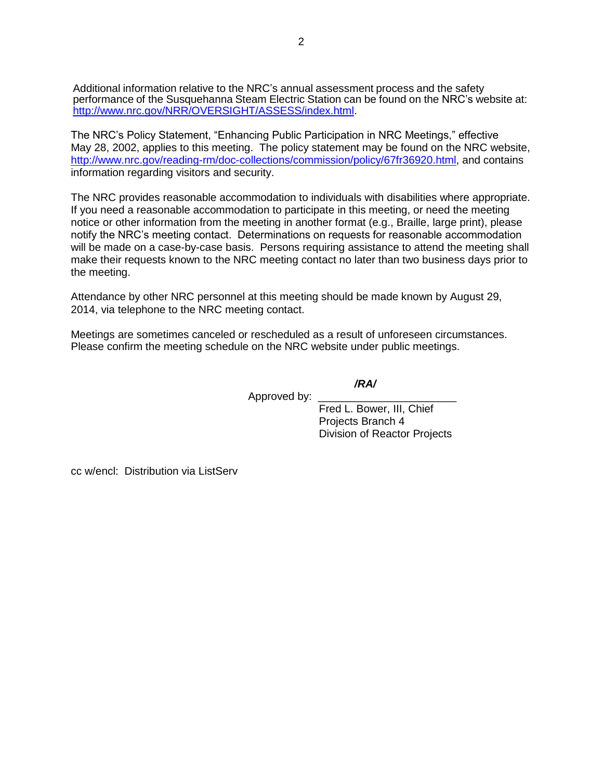Additional information relative to the NRC's annual assessment process and the safety performance of the Susquehanna Steam Electric Station can be found on the NRC's website at: [http://www.nrc.gov/NRR/OVERSIGHT/ASSESS/index.html.](http://www.nrc.gov/NRR/OVERSIGHT/ASSESS/index.html)

The NRC's Policy Statement, "Enhancing Public Participation in NRC Meetings," effective May 28, 2002, applies to this meeting. The policy statement may be found on the NRC website, [http://www.nrc.gov/reading-rm/doc-collections/commission/policy/67fr36920.html,](http://www.nrc.gov/reading-rm/doc-collections/commission/policy/67fr36920.html) and contains information regarding visitors and security.

The NRC provides reasonable accommodation to individuals with disabilities where appropriate. If you need a reasonable accommodation to participate in this meeting, or need the meeting notice or other information from the meeting in another format (e.g., Braille, large print), please notify the NRC's meeting contact. Determinations on requests for reasonable accommodation will be made on a case-by-case basis. Persons requiring assistance to attend the meeting shall make their requests known to the NRC meeting contact no later than two business days prior to the meeting.

Attendance by other NRC personnel at this meeting should be made known by August 29, 2014, via telephone to the NRC meeting contact.

Meetings are sometimes canceled or rescheduled as a result of unforeseen circumstances. Please confirm the meeting schedule on the NRC website under public meetings.

*/RA/*

Approved by:

Fred L. Bower, III, Chief Projects Branch 4 Division of Reactor Projects

cc w/encl: Distribution via ListServ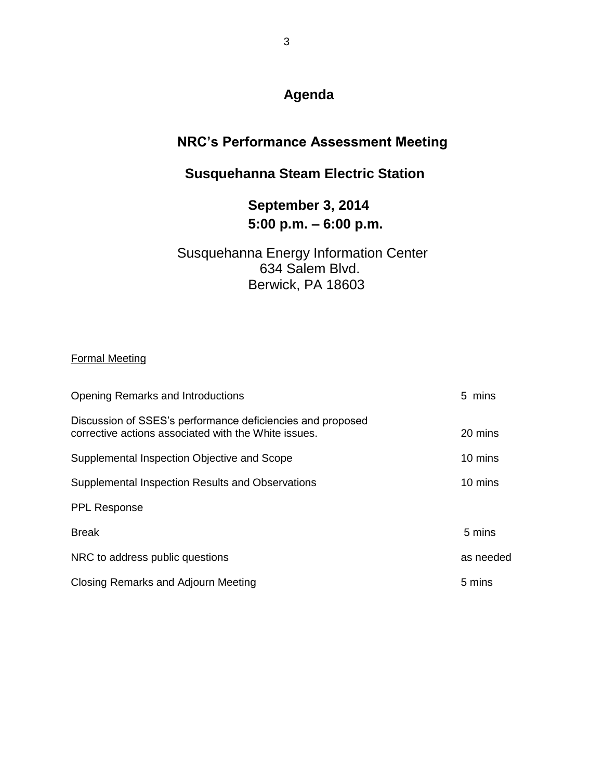# **Agenda**

### **NRC's Performance Assessment Meeting**

# **Susquehanna Steam Electric Station**

## **September 3, 2014 5:00 p.m. – 6:00 p.m.**

### Susquehanna Energy Information Center 634 Salem Blvd. Berwick, PA 18603

#### Formal Meeting

| <b>Opening Remarks and Introductions</b>                                                                           | 5 mins    |
|--------------------------------------------------------------------------------------------------------------------|-----------|
| Discussion of SSES's performance deficiencies and proposed<br>corrective actions associated with the White issues. | 20 mins   |
| Supplemental Inspection Objective and Scope                                                                        | 10 mins   |
| Supplemental Inspection Results and Observations                                                                   | 10 mins   |
| <b>PPL Response</b>                                                                                                |           |
| <b>Break</b>                                                                                                       | 5 mins    |
| NRC to address public questions                                                                                    | as needed |
| Closing Remarks and Adjourn Meeting                                                                                | 5 mins    |